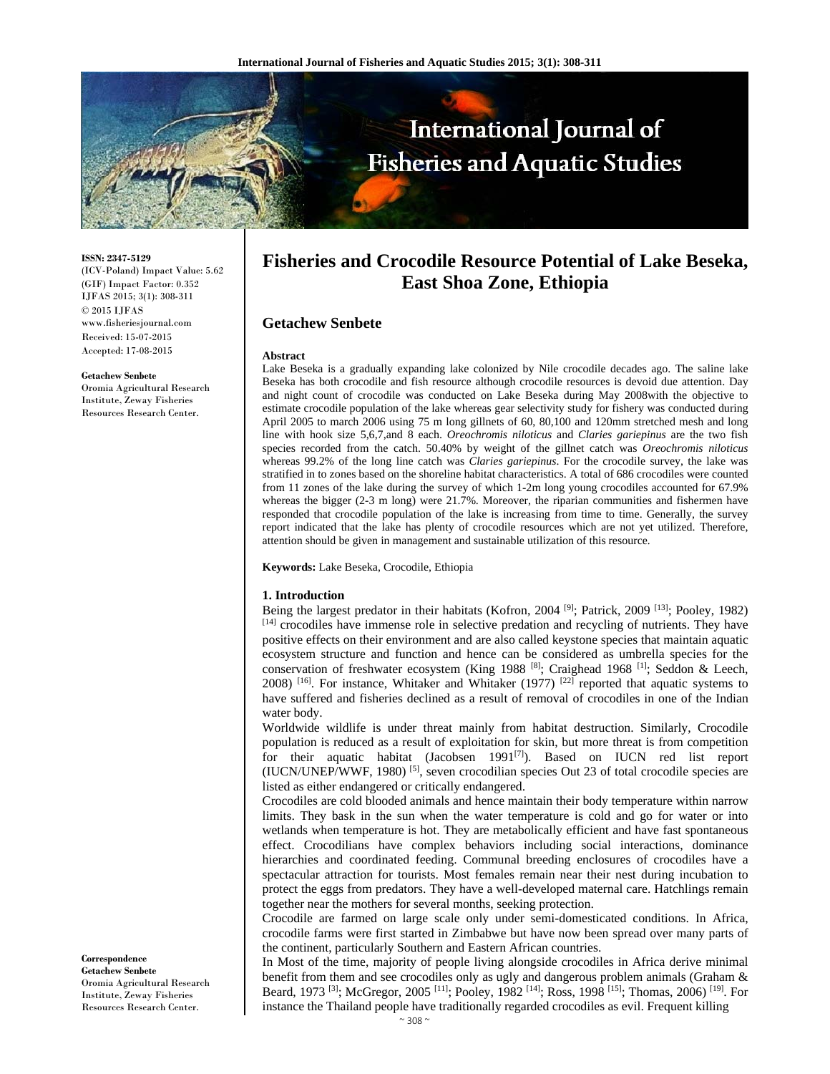

**ISSN: 2347-5129** 

(ICV-Poland) Impact Value: 5.62 (GIF) Impact Factor: 0.352 IJFAS 2015; 3(1): 308-311  $\odot$  2015 IJFAS www.fisheriesjournal.com Received: 15-07-2015 Accepted: 17-08-2015

#### **Getachew Senbete**

Oromia Agricultural Research Institute, Zeway Fisheries Resources Research Center.

**Correspondence Getachew Senbete** 

Oromia Agricultural Research Institute, Zeway Fisheries Resources Research Center.

# **Fisheries and Crocodile Resource Potential of Lake Beseka, East Shoa Zone, Ethiopia**

## **Getachew Senbete**

#### **Abstract**

Lake Beseka is a gradually expanding lake colonized by Nile crocodile decades ago. The saline lake Beseka has both crocodile and fish resource although crocodile resources is devoid due attention. Day and night count of crocodile was conducted on Lake Beseka during May 2008with the objective to estimate crocodile population of the lake whereas gear selectivity study for fishery was conducted during April 2005 to march 2006 using 75 m long gillnets of 60, 80,100 and 120mm stretched mesh and long line with hook size 5,6,7,and 8 each. *Oreochromis niloticus* and *Claries gariepinus* are the two fish species recorded from the catch. 50.40% by weight of the gillnet catch was *Oreochromis niloticus* whereas 99.2% of the long line catch was *Claries gariepinus*. For the crocodile survey, the lake was stratified in to zones based on the shoreline habitat characteristics. A total of 686 crocodiles were counted from 11 zones of the lake during the survey of which 1-2m long young crocodiles accounted for 67.9% whereas the bigger (2-3 m long) were 21.7%. Moreover, the riparian communities and fishermen have responded that crocodile population of the lake is increasing from time to time. Generally, the survey report indicated that the lake has plenty of crocodile resources which are not yet utilized. Therefore, attention should be given in management and sustainable utilization of this resource*.*

#### **Keywords:** Lake Beseka, Crocodile, Ethiopia

#### **1. Introduction**

Being the largest predator in their habitats (Kofron, 2004 <sup>[9]</sup>; Patrick, 2009 <sup>[13]</sup>; Pooley, 1982) [14] crocodiles have immense role in selective predation and recycling of nutrients. They have positive effects on their environment and are also called keystone species that maintain aquatic ecosystem structure and function and hence can be considered as umbrella species for the conservation of freshwater ecosystem (King 1988 [8]; Craighead 1968 [1]; Seddon & Leech, 2008) <sup>[16]</sup>. For instance, Whitaker and Whitaker (1977) <sup>[22]</sup> reported that aquatic systems to have suffered and fisheries declined as a result of removal of crocodiles in one of the Indian water body.

Worldwide wildlife is under threat mainly from habitat destruction. Similarly, Crocodile population is reduced as a result of exploitation for skin, but more threat is from competition for their aquatic habitat (Jacobsen 1991<sup>[7]</sup>). Based on IUCN red list report (IUCN/UNEP/WWF, 1980) [5], seven crocodilian species Out 23 of total crocodile species are listed as either endangered or critically endangered.

Crocodiles are cold blooded animals and hence maintain their body temperature within narrow limits. They bask in the sun when the water temperature is cold and go for water or into wetlands when temperature is hot. They are metabolically efficient and have fast spontaneous effect. Crocodilians have complex behaviors including social interactions, dominance hierarchies and coordinated feeding. Communal breeding enclosures of crocodiles have a spectacular attraction for tourists. Most females remain near their nest during incubation to protect the eggs from predators. They have a well-developed maternal care. Hatchlings remain together near the mothers for several months, seeking protection.

Crocodile are farmed on large scale only under semi-domesticated conditions. In Africa, crocodile farms were first started in Zimbabwe but have now been spread over many parts of the continent, particularly Southern and Eastern African countries.

In Most of the time, majority of people living alongside crocodiles in Africa derive minimal benefit from them and see crocodiles only as ugly and dangerous problem animals (Graham & Beard, 1973 <sup>[3]</sup>; McGregor, 2005 <sup>[11]</sup>; Pooley, 1982 <sup>[14]</sup>; Ross, 1998 <sup>[15]</sup>; Thomas, 2006) <sup>[19]</sup>. For instance the Thailand people have traditionally regarded crocodiles as evil. Frequent killing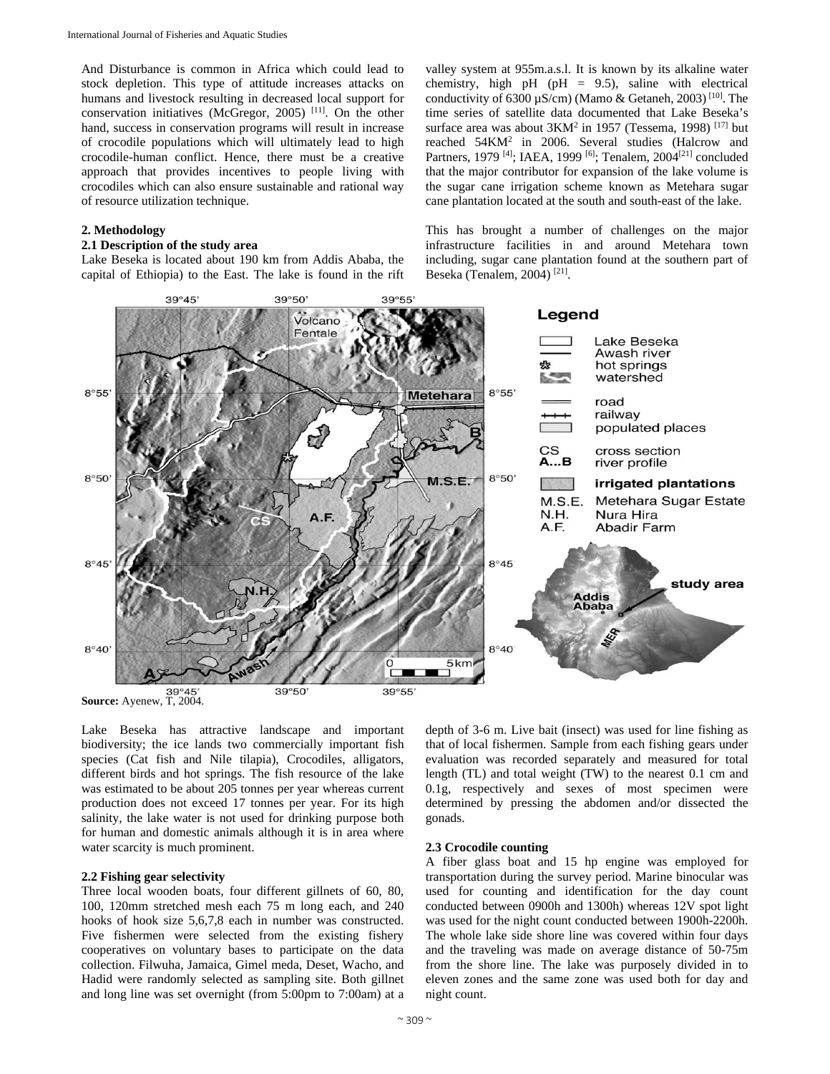And Disturbance is common in Africa which could lead to stock depletion. This type of attitude increases attacks on humans and livestock resulting in decreased local support for conservation initiatives (McGregor, 2005) [11]. On the other hand, success in conservation programs will result in increase of crocodile populations which will ultimately lead to high crocodile-human conflict. Hence, there must be a creative approach that provides incentives to people living with crocodiles which can also ensure sustainable and rational way of resource utilization technique.

## **2. Methodology**

## **2.1 Description of the study area**

Lake Beseka is located about 190 km from Addis Ababa, the capital of Ethiopia) to the East. The lake is found in the rift valley system at 955m.a.s.l. It is known by its alkaline water chemistry, high pH (pH =  $9.5$ ), saline with electrical conductivity of  $6300 \mu$ S/cm) (Mamo & Getaneh, 2003)<sup>[10]</sup>. The time series of satellite data documented that Lake Beseka's surface area was about 3KM<sup>2</sup> in 1957 (Tessema, 1998)<sup>[17]</sup> but reached 54KM2 in 2006. Several studies (Halcrow and Partners, 1979 <sup>[4]</sup>; IAEA, 1999 <sup>[6]</sup>; Tenalem, 2004<sup>[21]</sup> concluded that the major contributor for expansion of the lake volume is the sugar cane irrigation scheme known as Metehara sugar cane plantation located at the south and south-east of the lake.

This has brought a number of challenges on the major infrastructure facilities in and around Metehara town including, sugar cane plantation found at the southern part of Beseka (Tenalem, 2004) [21].



Lake Beseka has attractive landscape and important biodiversity; the ice lands two commercially important fish species (Cat fish and Nile tilapia), Crocodiles, alligators, different birds and hot springs. The fish resource of the lake was estimated to be about 205 tonnes per year whereas current production does not exceed 17 tonnes per year. For its high salinity, the lake water is not used for drinking purpose both for human and domestic animals although it is in area where water scarcity is much prominent.

## **2.2 Fishing gear selectivity**

Three local wooden boats, four different gillnets of 60, 80, 100, 120mm stretched mesh each 75 m long each, and 240 hooks of hook size 5,6,7,8 each in number was constructed. Five fishermen were selected from the existing fishery cooperatives on voluntary bases to participate on the data collection. Filwuha, Jamaica, Gimel meda, Deset, Wacho, and Hadid were randomly selected as sampling site. Both gillnet and long line was set overnight (from 5:00pm to 7:00am) at a

depth of 3-6 m. Live bait (insect) was used for line fishing as that of local fishermen. Sample from each fishing gears under evaluation was recorded separately and measured for total length (TL) and total weight (TW) to the nearest 0.1 cm and 0.1g, respectively and sexes of most specimen were determined by pressing the abdomen and/or dissected the gonads.

#### **2.3 Crocodile counting**

A fiber glass boat and 15 hp engine was employed for transportation during the survey period. Marine binocular was used for counting and identification for the day count conducted between 0900h and 1300h) whereas 12V spot light was used for the night count conducted between 1900h-2200h. The whole lake side shore line was covered within four days and the traveling was made on average distance of 50-75m from the shore line. The lake was purposely divided in to eleven zones and the same zone was used both for day and night count.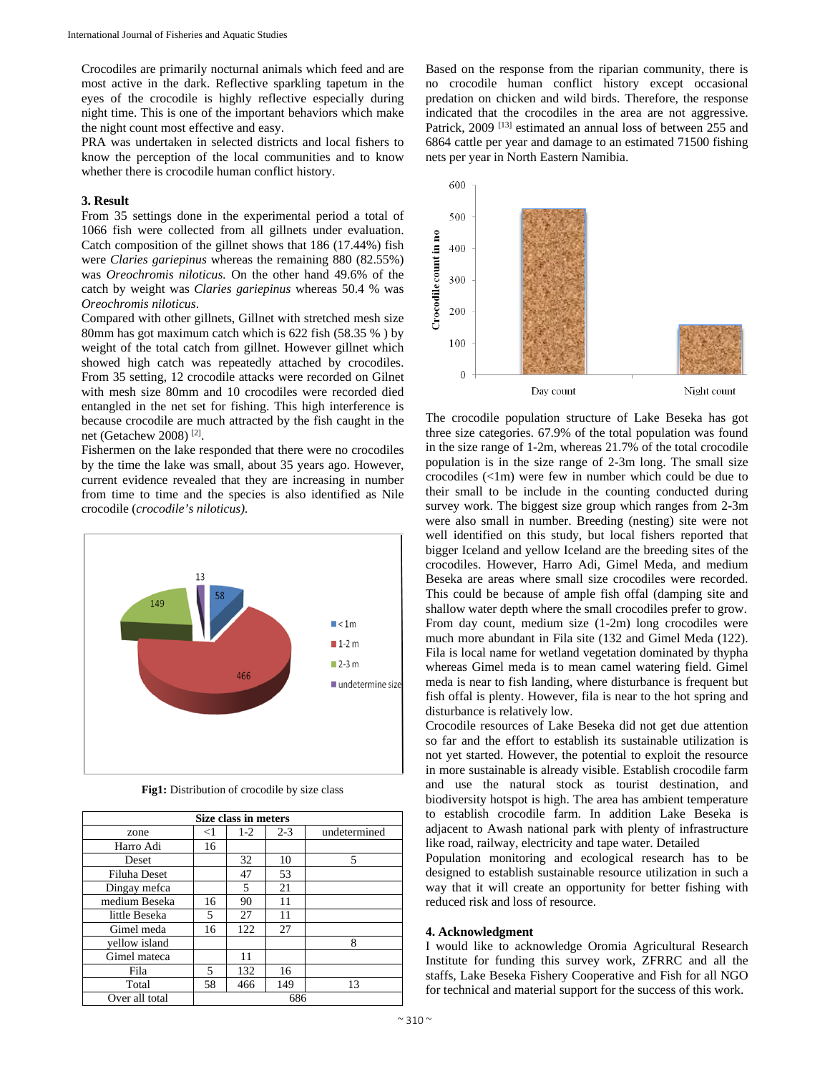Crocodiles are primarily nocturnal animals which feed and are most active in the dark. Reflective sparkling tapetum in the eyes of the crocodile is highly reflective especially during night time. This is one of the important behaviors which make the night count most effective and easy.

PRA was undertaken in selected districts and local fishers to know the perception of the local communities and to know whether there is crocodile human conflict history.

## **3. Result**

From 35 settings done in the experimental period a total of 1066 fish were collected from all gillnets under evaluation. Catch composition of the gillnet shows that 186 (17.44%) fish were *Claries gariepinus* whereas the remaining 880 (82.55%) was *Oreochromis niloticus.* On the other hand 49.6% of the catch by weight was *Claries gariepinus* whereas 50.4 % was *Oreochromis niloticus*.

Compared with other gillnets, Gillnet with stretched mesh size 80mm has got maximum catch which is 622 fish (58.35 % ) by weight of the total catch from gillnet. However gillnet which showed high catch was repeatedly attached by crocodiles. From 35 setting, 12 crocodile attacks were recorded on Gilnet with mesh size 80mm and 10 crocodiles were recorded died entangled in the net set for fishing. This high interference is because crocodile are much attracted by the fish caught in the net (Getachew 2008) [2].

Fishermen on the lake responded that there were no crocodiles by the time the lake was small, about 35 years ago. However, current evidence revealed that they are increasing in number from time to time and the species is also identified as Nile crocodile (*crocodile's niloticus).* 



**Fig1:** Distribution of crocodile by size class

| Size class in meters |       |       |         |              |  |
|----------------------|-------|-------|---------|--------------|--|
| zone                 | $<$ 1 | $1-2$ | $2 - 3$ | undetermined |  |
| Harro Adi            | 16    |       |         |              |  |
| Deset                |       | 32    | 10      | 5            |  |
| Filuha Deset         |       | 47    | 53      |              |  |
| Dingay mefca         |       | 5     | 21      |              |  |
| medium Beseka        | 16    | 90    | 11      |              |  |
| little Beseka        | 5     | 27    | 11      |              |  |
| Gimel meda           | 16    | 122   | 27      |              |  |
| vellow island        |       |       |         | 8            |  |
| Gimel mateca         |       | 11    |         |              |  |
| Fila                 | 5     | 132   | 16      |              |  |
| Total                | 58    | 466   | 149     | 13           |  |
| Over all total       |       | 686   |         |              |  |

Based on the response from the riparian community, there is no crocodile human conflict history except occasional predation on chicken and wild birds. Therefore, the response indicated that the crocodiles in the area are not aggressive. Patrick, 2009<sup>[13]</sup> estimated an annual loss of between 255 and 6864 cattle per year and damage to an estimated 71500 fishing nets per year in North Eastern Namibia.



The crocodile population structure of Lake Beseka has got three size categories. 67.9% of the total population was found in the size range of 1-2m, whereas 21.7% of the total crocodile population is in the size range of 2-3m long. The small size crocodiles (<1m) were few in number which could be due to their small to be include in the counting conducted during survey work. The biggest size group which ranges from 2-3m were also small in number. Breeding (nesting) site were not well identified on this study, but local fishers reported that bigger Iceland and yellow Iceland are the breeding sites of the crocodiles. However, Harro Adi, Gimel Meda, and medium Beseka are areas where small size crocodiles were recorded. This could be because of ample fish offal (damping site and shallow water depth where the small crocodiles prefer to grow. From day count, medium size (1-2m) long crocodiles were much more abundant in Fila site (132 and Gimel Meda (122). Fila is local name for wetland vegetation dominated by thypha whereas Gimel meda is to mean camel watering field. Gimel meda is near to fish landing, where disturbance is frequent but fish offal is plenty. However, fila is near to the hot spring and disturbance is relatively low.

Crocodile resources of Lake Beseka did not get due attention so far and the effort to establish its sustainable utilization is not yet started. However, the potential to exploit the resource in more sustainable is already visible. Establish crocodile farm and use the natural stock as tourist destination, and biodiversity hotspot is high. The area has ambient temperature to establish crocodile farm. In addition Lake Beseka is adjacent to Awash national park with plenty of infrastructure like road, railway, electricity and tape water. Detailed

Population monitoring and ecological research has to be designed to establish sustainable resource utilization in such a way that it will create an opportunity for better fishing with reduced risk and loss of resource.

#### **4. Acknowledgment**

I would like to acknowledge Oromia Agricultural Research Institute for funding this survey work, ZFRRC and all the staffs, Lake Beseka Fishery Cooperative and Fish for all NGO for technical and material support for the success of this work.